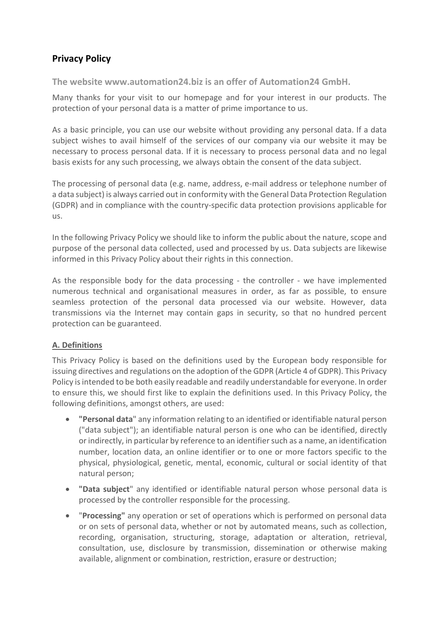# **Privacy Policy**

**The website www.automation24.biz is an offer of Automation24 GmbH.**

Many thanks for your visit to our homepage and for your interest in our products. The protection of your personal data is a matter of prime importance to us.

As a basic principle, you can use our website without providing any personal data. If a data subject wishes to avail himself of the services of our company via our website it may be necessary to process personal data. If it is necessary to process personal data and no legal basis exists for any such processing, we always obtain the consent of the data subject.

The processing of personal data (e.g. name, address, e-mail address or telephone number of a data subject) is always carried out in conformity with the General Data Protection Regulation (GDPR) and in compliance with the country-specific data protection provisions applicable for us.

In the following Privacy Policy we should like to inform the public about the nature, scope and purpose of the personal data collected, used and processed by us. Data subjects are likewise informed in this Privacy Policy about their rights in this connection.

As the responsible body for the data processing - the controller - we have implemented numerous technical and organisational measures in order, as far as possible, to ensure seamless protection of the personal data processed via our website. However, data transmissions via the Internet may contain gaps in security, so that no hundred percent protection can be guaranteed.

### **A. Definitions**

This Privacy Policy is based on the definitions used by the European body responsible for issuing directives and regulations on the adoption of the GDPR (Article 4 of GDPR). This Privacy Policy is intended to be both easily readable and readily understandable for everyone. In order to ensure this, we should first like to explain the definitions used. In this Privacy Policy, the following definitions, amongst others, are used:

- **"Personal data**" any information relating to an identified or identifiable natural person ("data subject"); an identifiable natural person is one who can be identified, directly or indirectly, in particular by reference to an identifier such as a name, an identification number, location data, an online identifier or to one or more factors specific to the physical, physiological, genetic, mental, economic, cultural or social identity of that natural person;
- **"Data subject**" any identified or identifiable natural person whose personal data is processed by the controller responsible for the processing.
- "**Processing"** any operation or set of operations which is performed on personal data or on sets of personal data, whether or not by automated means, such as collection, recording, organisation, structuring, storage, adaptation or alteration, retrieval, consultation, use, disclosure by transmission, dissemination or otherwise making available, alignment or combination, restriction, erasure or destruction;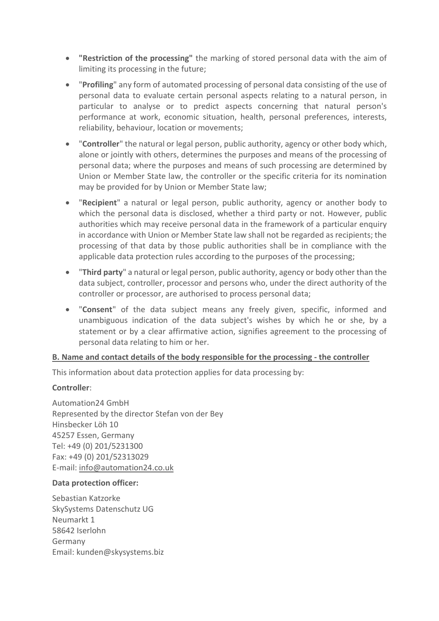- **"Restriction of the processing"** the marking of stored personal data with the aim of limiting its processing in the future;
- "**Profiling**" any form of automated processing of personal data consisting of the use of personal data to evaluate certain personal aspects relating to a natural person, in particular to analyse or to predict aspects concerning that natural person's performance at work, economic situation, health, personal preferences, interests, reliability, behaviour, location or movements;
- "**Controller**" the natural or legal person, public authority, agency or other body which, alone or jointly with others, determines the purposes and means of the processing of personal data; where the purposes and means of such processing are determined by Union or Member State law, the controller or the specific criteria for its nomination may be provided for by Union or Member State law;
- "**Recipient**" a natural or legal person, public authority, agency or another body to which the personal data is disclosed, whether a third party or not. However, public authorities which may receive personal data in the framework of a particular enquiry in accordance with Union or Member State law shall not be regarded as recipients; the processing of that data by those public authorities shall be in compliance with the applicable data protection rules according to the purposes of the processing;
- "**Third party**" a natural or legal person, public authority, agency or body other than the data subject, controller, processor and persons who, under the direct authority of the controller or processor, are authorised to process personal data;
- "**Consent**" of the data subject means any freely given, specific, informed and unambiguous indication of the data subject's wishes by which he or she, by a statement or by a clear affirmative action, signifies agreement to the processing of personal data relating to him or her.

### **B. Name and contact details of the body responsible for the processing - the controller**

This information about data protection applies for data processing by:

### **Controller**:

Automation24 GmbH Represented by the director Stefan von der Bey Hinsbecker Löh 10 45257 Essen, Germany Tel: +49 (0) 201/5231300 Fax: +49 (0) 201/52313029 E-mail: [info@automation24.co.uk](mailto:info@automation24.co.uk)

### **Data protection officer:**

Sebastian Katzorke SkySystems Datenschutz UG Neumarkt 1 58642 Iserlohn Germany Email: [kunden@skysystems.biz](mailto:kunden@skysystems.biz)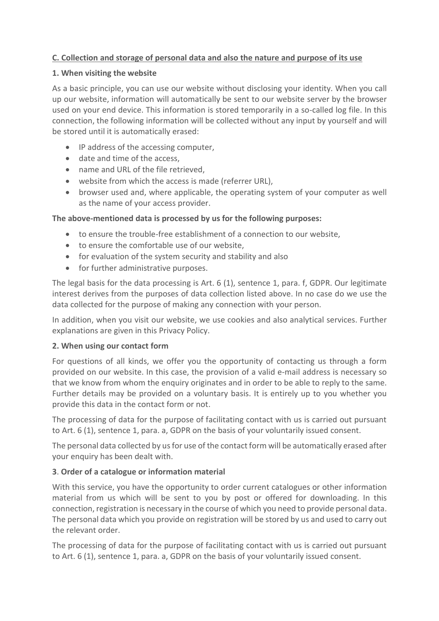### **C. Collection and storage of personal data and also the nature and purpose of its use**

#### **1. When visiting the website**

As a basic principle, you can use our website without disclosing your identity. When you call up our website, information will automatically be sent to our website server by the browser used on your end device. This information is stored temporarily in a so-called log file. In this connection, the following information will be collected without any input by yourself and will be stored until it is automatically erased:

- IP address of the accessing computer,
- date and time of the access,
- name and URL of the file retrieved,
- website from which the access is made (referrer URL),
- browser used and, where applicable, the operating system of your computer as well as the name of your access provider.

### **The above-mentioned data is processed by us for the following purposes:**

- to ensure the trouble-free establishment of a connection to our website,
- to ensure the comfortable use of our website,
- for evaluation of the system security and stability and also
- for further administrative purposes.

The legal basis for the data processing is Art. 6 (1), sentence 1, para. f, GDPR. Our legitimate interest derives from the purposes of data collection listed above. In no case do we use the data collected for the purpose of making any connection with your person.

In addition, when you visit our website, we use cookies and also analytical services. Further explanations are given in this Privacy Policy.

### **2. When using our contact form**

For questions of all kinds, we offer you the opportunity of contacting us through a form provided on our website. In this case, the provision of a valid e-mail address is necessary so that we know from whom the enquiry originates and in order to be able to reply to the same. Further details may be provided on a voluntary basis. It is entirely up to you whether you provide this data in the contact form or not.

The processing of data for the purpose of facilitating contact with us is carried out pursuant to Art. 6 (1), sentence 1, para. a, GDPR on the basis of your voluntarily issued consent.

The personal data collected by us for use of the contact form will be automatically erased after your enquiry has been dealt with.

### **3**. **Order of a catalogue or information material**

With this service, you have the opportunity to order current catalogues or other information material from us which will be sent to you by post or offered for downloading. In this connection, registration is necessary in the course of which you need to provide personal data. The personal data which you provide on registration will be stored by us and used to carry out the relevant order.

The processing of data for the purpose of facilitating contact with us is carried out pursuant to Art. 6 (1), sentence 1, para. a, GDPR on the basis of your voluntarily issued consent.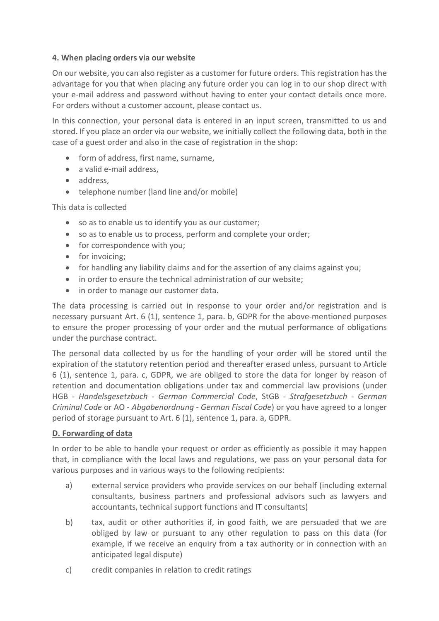#### **4. When placing orders via our website**

On our website, you can also register as a customer for future orders. Thisregistration has the advantage for you that when placing any future order you can log in to our shop direct with your e-mail address and password without having to enter your contact details once more. For orders without a customer account, please contact us.

In this connection, your personal data is entered in an input screen, transmitted to us and stored. If you place an order via our website, we initially collect the following data, both in the case of a guest order and also in the case of registration in the shop:

- form of address, first name, surname,
- a valid e-mail address.
- address,
- telephone number (land line and/or mobile)

This data is collected

- so as to enable us to identify you as our customer;
- so as to enable us to process, perform and complete your order;
- for correspondence with you;
- for invoicing:
- for handling any liability claims and for the assertion of any claims against you;
- in order to ensure the technical administration of our website;
- in order to manage our customer data.

The data processing is carried out in response to your order and/or registration and is necessary pursuant Art. 6 (1), sentence 1, para. b, GDPR for the above-mentioned purposes to ensure the proper processing of your order and the mutual performance of obligations under the purchase contract.

The personal data collected by us for the handling of your order will be stored until the expiration of the statutory retention period and thereafter erased unless, pursuant to Article 6 (1), sentence 1, para. c, GDPR, we are obliged to store the data for longer by reason of retention and documentation obligations under tax and commercial law provisions (under HGB *- Handelsgesetzbuch - German Commercial Code*, StGB - *Strafgesetzbuch - German Criminal Code* or AO - *Abgabenordnung - German Fiscal Code*) or you have agreed to a longer period of storage pursuant to Art. 6 (1), sentence 1, para. a, GDPR.

### **D. Forwarding of data**

In order to be able to handle your request or order as efficiently as possible it may happen that, in compliance with the local laws and regulations, we pass on your personal data for various purposes and in various ways to the following recipients:

- a) external service providers who provide services on our behalf (including external consultants, business partners and professional advisors such as lawyers and accountants, technical support functions and IT consultants)
- b) tax, audit or other authorities if, in good faith, we are persuaded that we are obliged by law or pursuant to any other regulation to pass on this data (for example, if we receive an enquiry from a tax authority or in connection with an anticipated legal dispute)
- c) credit companies in relation to credit ratings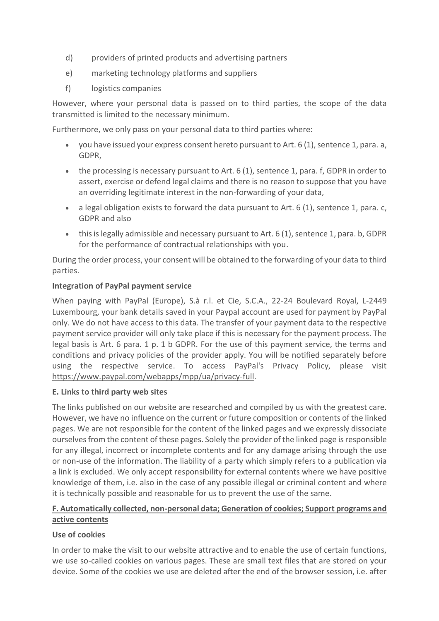- d) providers of printed products and advertising partners
- e) marketing technology platforms and suppliers
- f) logistics companies

However, where your personal data is passed on to third parties, the scope of the data transmitted is limited to the necessary minimum.

Furthermore, we only pass on your personal data to third parties where:

- you have issued your express consent hereto pursuant to Art.  $6(1)$ , sentence 1, para. a, GDPR,
- the processing is necessary pursuant to Art. 6 (1), sentence 1, para. f, GDPR in order to assert, exercise or defend legal claims and there is no reason to suppose that you have an overriding legitimate interest in the non-forwarding of your data,
- a legal obligation exists to forward the data pursuant to Art. 6 (1), sentence 1, para. c, GDPR and also
- this is legally admissible and necessary pursuant to Art. 6 (1), sentence 1, para. b, GDPR for the performance of contractual relationships with you.

During the order process, your consent will be obtained to the forwarding of your data to third parties.

### **Integration of PayPal payment service**

When paying with PayPal (Europe), S.à r.l. et Cie, S.C.A., 22-24 Boulevard Royal, L-2449 Luxembourg, your bank details saved in your Paypal account are used for payment by PayPal only. We do not have access to this data. The transfer of your payment data to the respective payment service provider will only take place if this is necessary for the payment process. The legal basis is Art. 6 para. 1 p. 1 b GDPR. For the use of this payment service, the terms and conditions and privacy policies of the provider apply. You will be notified separately before using the respective service. To access PayPal's Privacy Policy, please visit [https://www.paypal.com/webapps/mpp/ua/privacy-full.](https://www.paypal.com/webapps/mpp/ua/privacy-full)

### **E. Links to third party web sites**

The links published on our website are researched and compiled by us with the greatest care. However, we have no influence on the current or future composition or contents of the linked pages. We are not responsible for the content of the linked pages and we expressly dissociate ourselves from the content of these pages. Solely the provider of the linked page is responsible for any illegal, incorrect or incomplete contents and for any damage arising through the use or non-use of the information. The liability of a party which simply refers to a publication via a link is excluded. We only accept responsibility for external contents where we have positive knowledge of them, i.e. also in the case of any possible illegal or criminal content and where it is technically possible and reasonable for us to prevent the use of the same.

# **F. Automatically collected, non-personal data; Generation of cookies; Support programs and active contents**

# **Use of cookies**

In order to make the visit to our website attractive and to enable the use of certain functions, we use so-called cookies on various pages. These are small text files that are stored on your device. Some of the cookies we use are deleted after the end of the browser session, i.e. after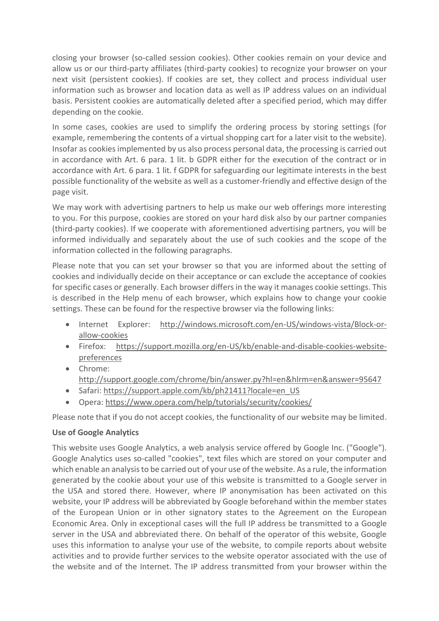closing your browser (so-called session cookies). Other cookies remain on your device and allow us or our third-party affiliates (third-party cookies) to recognize your browser on your next visit (persistent cookies). If cookies are set, they collect and process individual user information such as browser and location data as well as IP address values on an individual basis. Persistent cookies are automatically deleted after a specified period, which may differ depending on the cookie.

In some cases, cookies are used to simplify the ordering process by storing settings (for example, remembering the contents of a virtual shopping cart for a later visit to the website). Insofar as cookies implemented by us also process personal data, the processing is carried out in accordance with Art. 6 para. 1 lit. b GDPR either for the execution of the contract or in accordance with Art. 6 para. 1 lit. f GDPR for safeguarding our legitimate interests in the best possible functionality of the website as well as a customer-friendly and effective design of the page visit.

We may work with advertising partners to help us make our web offerings more interesting to you. For this purpose, cookies are stored on your hard disk also by our partner companies (third-party cookies). If we cooperate with aforementioned advertising partners, you will be informed individually and separately about the use of such cookies and the scope of the information collected in the following paragraphs.

Please note that you can set your browser so that you are informed about the setting of cookies and individually decide on their acceptance or can exclude the acceptance of cookies for specific cases or generally. Each browser differs in the way it manages cookie settings. This is described in the Help menu of each browser, which explains how to change your cookie settings. These can be found for the respective browser via the following links:

- Internet Explorer: [http://windows.microsoft.com/en-US/windows-vista/Block-or](http://windows.microsoft.com/en-US/windows-vista/Block-or-allow-cookies)[allow-cookies](http://windows.microsoft.com/en-US/windows-vista/Block-or-allow-cookies)
- Firefox: [https://support.mozilla.org/en-US/kb/enable-and-disable-cookies-website](https://support.mozilla.org/en-US/kb/enable-and-disable-cookies-website-preferences)[preferences](https://support.mozilla.org/en-US/kb/enable-and-disable-cookies-website-preferences)
- Chrome: <http://support.google.com/chrome/bin/answer.py?hl=en&hlrm=en&answer=95647>
- Safari: [https://support.apple.com/kb/ph21411?locale=en\\_US](https://support.apple.com/kb/ph21411?locale=en_US)
- Opera:<https://www.opera.com/help/tutorials/security/cookies/>

Please note that if you do not accept cookies, the functionality of our website may be limited.

# **Use of Google Analytics**

This website uses Google Analytics, a web analysis service offered by Google Inc. ("Google"). Google Analytics uses so-called "cookies", text files which are stored on your computer and which enable an analysis to be carried out of your use of the website. As a rule, the information generated by the cookie about your use of this website is transmitted to a Google server in the USA and stored there. However, where IP anonymisation has been activated on this website, your IP address will be abbreviated by Google beforehand within the member states of the European Union or in other signatory states to the Agreement on the European Economic Area. Only in exceptional cases will the full IP address be transmitted to a Google server in the USA and abbreviated there. On behalf of the operator of this website, Google uses this information to analyse your use of the website, to compile reports about website activities and to provide further services to the website operator associated with the use of the website and of the Internet. The IP address transmitted from your browser within the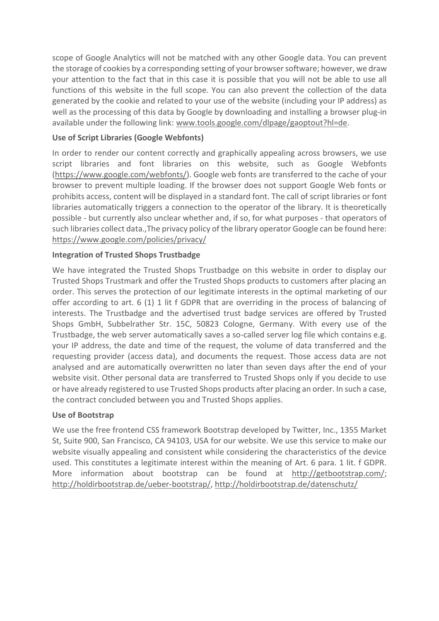scope of Google Analytics will not be matched with any other Google data. You can prevent the storage of cookies by a corresponding setting of your browsersoftware; however, we draw your attention to the fact that in this case it is possible that you will not be able to use all functions of this website in the full scope. You can also prevent the collection of the data generated by the cookie and related to your use of the website (including your IP address) as well as the processing of this data by Google by downloading and installing a browser plug-in available under the following link: [www.tools.google.com/dlpage/gaoptout?hl=de.](http://www.tools.google.com/dlpage/gaoptout?hl=de)

### **Use of Script Libraries (Google Webfonts)**

In order to render our content correctly and graphically appealing across browsers, we use script libraries and font libraries on this website, such as Google Webfonts [\(https://www.google.com/webfonts/\)](https://www.google.com/webfonts/). Google web fonts are transferred to the cache of your browser to prevent multiple loading. If the browser does not support Google Web fonts or prohibits access, content will be displayed in a standard font. The call of script libraries or font libraries automatically triggers a connection to the operator of the library. It is theoretically possible - but currently also unclear whether and, if so, for what purposes - that operators of such libraries collect data.,The privacy policy of the library operator Google can be found here: <https://www.google.com/policies/privacy/>

### **Integration of Trusted Shops Trustbadge**

We have integrated the Trusted Shops Trustbadge on this website in order to display our Trusted Shops Trustmark and offer the Trusted Shops products to customers after placing an order. This serves the protection of our legitimate interests in the optimal marketing of our offer according to art. 6 (1) 1 lit f GDPR that are overriding in the process of balancing of interests. The Trustbadge and the advertised trust badge services are offered by Trusted Shops GmbH, Subbelrather Str. 15C, 50823 Cologne, Germany. With every use of the Trustbadge, the web server automatically saves a so-called server log file which contains e.g. your IP address, the date and time of the request, the volume of data transferred and the requesting provider (access data), and documents the request. Those access data are not analysed and are automatically overwritten no later than seven days after the end of your website visit. Other personal data are transferred to Trusted Shops only if you decide to use or have already registered to use Trusted Shops products after placing an order. In such a case, the contract concluded between you and Trusted Shops applies.

### **Use of Bootstrap**

We use the free frontend CSS framework Bootstrap developed by Twitter, Inc., 1355 Market St, Suite 900, San Francisco, CA 94103, USA for our website. We use this service to make our website visually appealing and consistent while considering the characteristics of the device used. This constitutes a legitimate interest within the meaning of Art. 6 para. 1 lit. f GDPR. More information about bootstrap can be found at [http://getbootstrap.com/;](http://getbootstrap.com/) [http://holdirbootstrap.de/ueber-bootstrap/,](http://holdirbootstrap.de/ueber-bootstrap/)<http://holdirbootstrap.de/datenschutz/>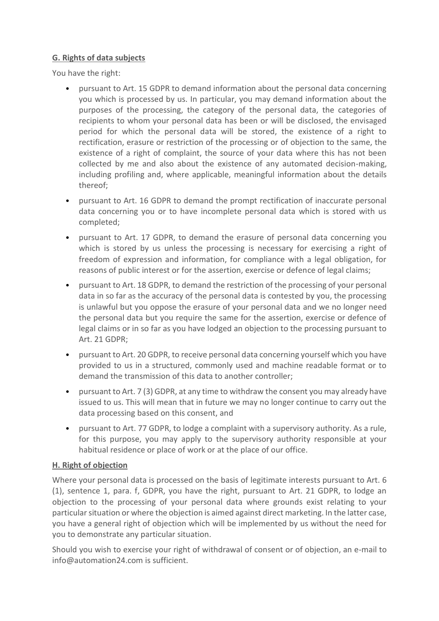### **G. Rights of data subjects**

You have the right:

- pursuant to Art. 15 GDPR to demand information about the personal data concerning you which is processed by us. In particular, you may demand information about the purposes of the processing, the category of the personal data, the categories of recipients to whom your personal data has been or will be disclosed, the envisaged period for which the personal data will be stored, the existence of a right to rectification, erasure or restriction of the processing or of objection to the same, the existence of a right of complaint, the source of your data where this has not been collected by me and also about the existence of any automated decision-making, including profiling and, where applicable, meaningful information about the details thereof;
- pursuant to Art. 16 GDPR to demand the prompt rectification of inaccurate personal data concerning you or to have incomplete personal data which is stored with us completed;
- pursuant to Art. 17 GDPR, to demand the erasure of personal data concerning you which is stored by us unless the processing is necessary for exercising a right of freedom of expression and information, for compliance with a legal obligation, for reasons of public interest or for the assertion, exercise or defence of legal claims;
- pursuant to Art. 18 GDPR, to demand the restriction of the processing of your personal data in so far as the accuracy of the personal data is contested by you, the processing is unlawful but you oppose the erasure of your personal data and we no longer need the personal data but you require the same for the assertion, exercise or defence of legal claims or in so far as you have lodged an objection to the processing pursuant to Art. 21 GDPR;
- pursuant to Art. 20 GDPR, to receive personal data concerning yourself which you have provided to us in a structured, commonly used and machine readable format or to demand the transmission of this data to another controller;
- pursuant to Art. 7 (3) GDPR, at any time to withdraw the consent you may already have issued to us. This will mean that in future we may no longer continue to carry out the data processing based on this consent, and
- pursuant to Art. 77 GDPR, to lodge a complaint with a supervisory authority. As a rule, for this purpose, you may apply to the supervisory authority responsible at your habitual residence or place of work or at the place of our office.

# **H. Right of objection**

Where your personal data is processed on the basis of legitimate interests pursuant to Art. 6 (1), sentence 1, para. f, GDPR, you have the right, pursuant to Art. 21 GDPR, to lodge an objection to the processing of your personal data where grounds exist relating to your particular situation or where the objection is aimed against direct marketing. In the latter case, you have a general right of objection which will be implemented by us without the need for you to demonstrate any particular situation.

Should you wish to exercise your right of withdrawal of consent or of objection, an e-mail to info@automation24.com is sufficient.